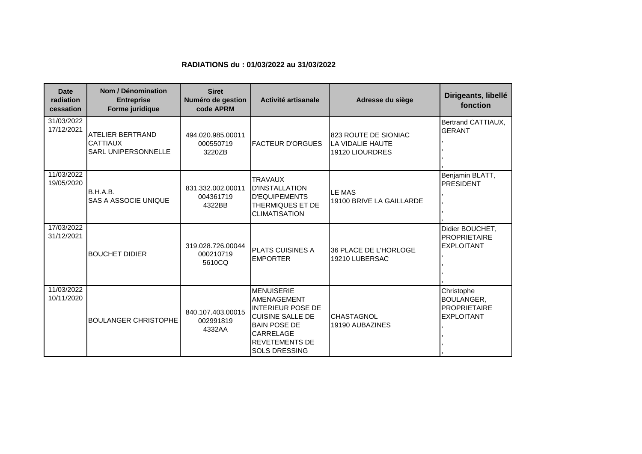## **RADIATIONS du : 01/03/2022 au 31/03/2022**

| <b>Date</b><br>radiation<br>cessation | Nom / Dénomination<br><b>Entreprise</b><br>Forme juridique               | <b>Siret</b><br>Numéro de gestion<br>code APRM | Activité artisanale                                                                                                                                                          | Adresse du siège                                            | Dirigeants, libellé<br>fonction                                             |
|---------------------------------------|--------------------------------------------------------------------------|------------------------------------------------|------------------------------------------------------------------------------------------------------------------------------------------------------------------------------|-------------------------------------------------------------|-----------------------------------------------------------------------------|
| 31/03/2022<br>17/12/2021              | <b>ATELIER BERTRAND</b><br><b>CATTIAUX</b><br><b>SARL UNIPERSONNELLE</b> | 494.020.985.00011<br>000550719<br>3220ZB       | <b>FACTEUR D'ORGUES</b>                                                                                                                                                      | 823 ROUTE DE SIONIAC<br>LA VIDALIE HAUTE<br>19120 LIOURDRES | Bertrand CATTIAUX,<br><b>GERANT</b>                                         |
| 11/03/2022<br>19/05/2020              | B.H.A.B.<br>SAS A ASSOCIE UNIQUE                                         | 831.332.002.00011<br>004361719<br>4322BB       | <b>TRAVAUX</b><br><b>ID'INSTALLATION</b><br><b>D'EQUIPEMENTS</b><br><b>THERMIQUES ET DE</b><br><b>CLIMATISATION</b>                                                          | <b>LE MAS</b><br>19100 BRIVE LA GAILLARDE                   | Benjamin BLATT,<br><b>PRESIDENT</b>                                         |
| 17/03/2022<br>31/12/2021              | <b>BOUCHET DIDIER</b>                                                    | 319.028.726.00044<br>000210719<br>5610CQ       | <b>PLATS CUISINES A</b><br><b>EMPORTER</b>                                                                                                                                   | 36 PLACE DE L'HORLOGE<br>19210 LUBERSAC                     | Didier BOUCHET,<br><b>PROPRIETAIRE</b><br><b>EXPLOITANT</b>                 |
| 11/03/2022<br>10/11/2020              | <b>BOULANGER CHRISTOPHE</b>                                              | 840.107.403.00015<br>002991819<br>4332AA       | <b>MENUISERIE</b><br>AMENAGEMENT<br>INTERIEUR POSE DE<br><b>CUISINE SALLE DE</b><br><b>BAIN POSE DE</b><br><b>CARRELAGE</b><br><b>REVETEMENTS DE</b><br><b>SOLS DRESSING</b> | <b>CHASTAGNOL</b><br>19190 AUBAZINES                        | Christophe<br><b>BOULANGER,</b><br><b>PROPRIETAIRE</b><br><b>EXPLOITANT</b> |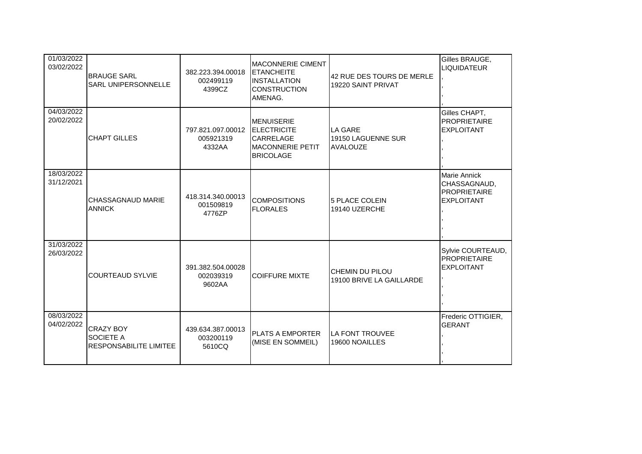| 01/03/2022<br>03/02/2022 | <b>BRAUGE SARL</b><br>SARL UNIPERSONNELLE                      | 382.223.394.00018<br>002499119<br>4399CZ | <b>MACONNERIE CIMENT</b><br><b>ETANCHEITE</b><br><b>INSTALLATION</b><br><b>CONSTRUCTION</b><br>AMENAG.     | 42 RUE DES TOURS DE MERLE<br>19220 SAINT PRIVAT         | Gilles BRAUGE,<br><b>LIQUIDATEUR</b>                                            |
|--------------------------|----------------------------------------------------------------|------------------------------------------|------------------------------------------------------------------------------------------------------------|---------------------------------------------------------|---------------------------------------------------------------------------------|
| 04/03/2022<br>20/02/2022 | <b>CHAPT GILLES</b>                                            | 797.821.097.00012<br>005921319<br>4332AA | <b>MENUISERIE</b><br><b>ELECTRICITE</b><br><b>CARRELAGE</b><br><b>MACONNERIE PETIT</b><br><b>BRICOLAGE</b> | <b>LA GARE</b><br>19150 LAGUENNE SUR<br><b>AVALOUZE</b> | Gilles CHAPT,<br><b>PROPRIETAIRE</b><br><b>EXPLOITANT</b>                       |
| 18/03/2022<br>31/12/2021 | CHASSAGNAUD MARIE<br><b>ANNICK</b>                             | 418.314.340.00013<br>001509819<br>4776ZP | <b>COMPOSITIONS</b><br><b>FLORALES</b>                                                                     | 5 PLACE COLEIN<br>19140 UZERCHE                         | <b>Marie Annick</b><br>CHASSAGNAUD,<br><b>PROPRIETAIRE</b><br><b>EXPLOITANT</b> |
| 31/03/2022<br>26/03/2022 | <b>COURTEAUD SYLVIE</b>                                        | 391.382.504.00028<br>002039319<br>9602AA | <b>COIFFURE MIXTE</b>                                                                                      | <b>CHEMIN DU PILOU</b><br>19100 BRIVE LA GAILLARDE      | Sylvie COURTEAUD,<br><b>PROPRIETAIRE</b><br><b>EXPLOITANT</b>                   |
| 08/03/2022<br>04/02/2022 | <b>CRAZY BOY</b><br>SOCIETE A<br><b>RESPONSABILITE LIMITEE</b> | 439.634.387.00013<br>003200119<br>5610CQ | <b>PLATS A EMPORTER</b><br>(MISE EN SOMMEIL)                                                               | LA FONT TROUVEE<br>19600 NOAILLES                       | Frederic OTTIGIER,<br><b>GERANT</b>                                             |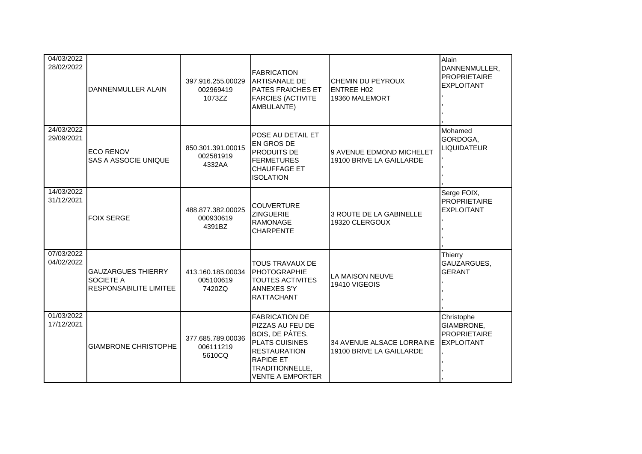| 04/03/2022<br>28/02/2022 | <b>DANNENMULLER ALAIN</b>                                        | 397.916.255.00029<br>002969419<br>1073ZZ | <b>FABRICATION</b><br><b>ARTISANALE DE</b><br><b>PATES FRAICHES ET</b><br><b>FARCIES (ACTIVITE</b><br>AMBULANTE)                                                                      | <b>CHEMIN DU PEYROUX</b><br><b>ENTREE H02</b><br>19360 MALEMORT | Alain<br>DANNENMULLER,<br><b>PROPRIETAIRE</b><br><b>EXPLOITANT</b>   |
|--------------------------|------------------------------------------------------------------|------------------------------------------|---------------------------------------------------------------------------------------------------------------------------------------------------------------------------------------|-----------------------------------------------------------------|----------------------------------------------------------------------|
| 24/03/2022<br>29/09/2021 | <b>ECO RENOV</b><br>SAS A ASSOCIE UNIQUE                         | 850.301.391.00015<br>002581919<br>4332AA | POSE AU DETAIL ET<br><b>EN GROS DE</b><br><b>PRODUITS DE</b><br><b>FERMETURES</b><br><b>CHAUFFAGE ET</b><br><b>ISOLATION</b>                                                          | 9 AVENUE EDMOND MICHELET<br>19100 BRIVE LA GAILLARDE            | Mohamed<br>GORDOGA,<br><b>LIQUIDATEUR</b>                            |
| 14/03/2022<br>31/12/2021 | <b>FOIX SERGE</b>                                                | 488.877.382.00025<br>000930619<br>4391BZ | <b>COUVERTURE</b><br><b>ZINGUERIE</b><br><b>RAMONAGE</b><br><b>CHARPENTE</b>                                                                                                          | 3 ROUTE DE LA GABINELLE<br>19320 CLERGOUX                       | Serge FOIX,<br><b>PROPRIETAIRE</b><br><b>EXPLOITANT</b>              |
| 07/03/2022<br>04/02/2022 | <b>GAUZARGUES THIERRY</b><br>SOCIETE A<br>RESPONSABILITE LIMITEE | 413.160.185.00034<br>005100619<br>7420ZQ | <b>TOUS TRAVAUX DE</b><br>PHOTOGRAPHIE<br><b>TOUTES ACTIVITES</b><br><b>ANNEXES S'Y</b><br><b>RATTACHANT</b>                                                                          | LA MAISON NEUVE<br>19410 VIGEOIS                                | Thierry<br>GAUZARGUES,<br><b>GERANT</b>                              |
| 01/03/2022<br>17/12/2021 | <b>GIAMBRONE CHRISTOPHE</b>                                      | 377.685.789.00036<br>006111219<br>5610CQ | <b>FABRICATION DE</b><br>PIZZAS AU FEU DE<br>BOIS, DE PÂTES,<br><b>PLATS CUISINES</b><br><b>RESTAURATION</b><br><b>RAPIDE ET</b><br><b>TRADITIONNELLE.</b><br><b>VENTE A EMPORTER</b> | 34 AVENUE ALSACE LORRAINE<br>19100 BRIVE LA GAILLARDE           | Christophe<br>GIAMBRONE,<br><b>PROPRIETAIRE</b><br><b>EXPLOITANT</b> |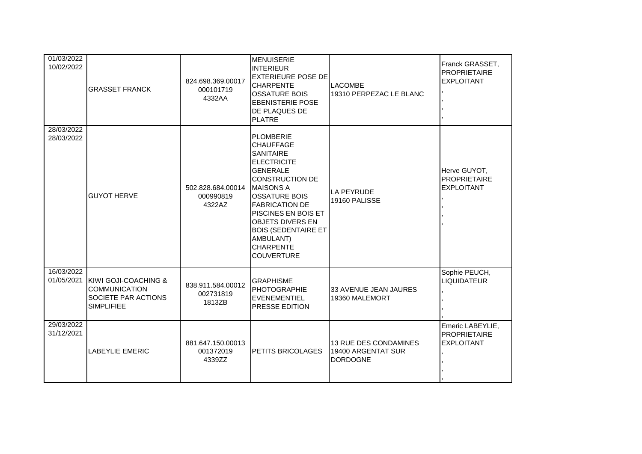| 01/03/2022<br>10/02/2022 | <b>GRASSET FRANCK</b>                                                                                       | 824.698.369.00017<br>000101719<br>4332AA | <b>MENUISERIE</b><br><b>INTERIEUR</b><br><b>EXTERIEURE POSE DE</b><br><b>CHARPENTE</b><br><b>OSSATURE BOIS</b><br><b>EBENISTERIE POSE</b><br><b>DE PLAQUES DE</b><br><b>PLATRE</b>                                                                                                                                                              | <b>LACOMBE</b><br>19310 PERPEZAC LE BLANC                      | Franck GRASSET,<br><b>PROPRIETAIRE</b><br><b>EXPLOITANT</b>  |
|--------------------------|-------------------------------------------------------------------------------------------------------------|------------------------------------------|-------------------------------------------------------------------------------------------------------------------------------------------------------------------------------------------------------------------------------------------------------------------------------------------------------------------------------------------------|----------------------------------------------------------------|--------------------------------------------------------------|
| 28/03/2022<br>28/03/2022 | <b>GUYOT HERVE</b>                                                                                          | 502.828.684.00014<br>000990819<br>4322AZ | <b>PLOMBERIE</b><br><b>CHAUFFAGE</b><br><b>SANITAIRE</b><br><b>IELECTRICITE</b><br><b>GENERALE</b><br><b>CONSTRUCTION DE</b><br><b>IMAISONS A</b><br><b>OSSATURE BOIS</b><br><b>FABRICATION DE</b><br><b>PISCINES EN BOIS ET</b><br><b>OBJETS DIVERS EN</b><br><b>BOIS (SEDENTAIRE ET</b><br>AMBULANT)<br><b>CHARPENTE</b><br><b>COUVERTURE</b> | <b>LA PEYRUDE</b><br>19160 PALISSE                             | Herve GUYOT,<br><b>PROPRIETAIRE</b><br><b>EXPLOITANT</b>     |
| 16/03/2022<br>01/05/2021 | <b>IKIWI GOJI-COACHING &amp;</b><br><b>COMMUNICATION</b><br><b>SOCIETE PAR ACTIONS</b><br><b>SIMPLIFIEE</b> | 838.911.584.00012<br>002731819<br>1813ZB | <b>GRAPHISME</b><br>PHOTOGRAPHIE<br>EVENEMENTIEL<br><b>PRESSE EDITION</b>                                                                                                                                                                                                                                                                       | 33 AVENUE JEAN JAURES<br>19360 MALEMORT                        | Sophie PEUCH,<br><b>LIQUIDATEUR</b>                          |
| 29/03/2022<br>31/12/2021 | <b>LABEYLIE EMERIC</b>                                                                                      | 881.647.150.00013<br>001372019<br>4339ZZ | <b>PETITS BRICOLAGES</b>                                                                                                                                                                                                                                                                                                                        | 13 RUE DES CONDAMINES<br>19400 ARGENTAT SUR<br><b>DORDOGNE</b> | Emeric LABEYLIE,<br><b>PROPRIETAIRE</b><br><b>EXPLOITANT</b> |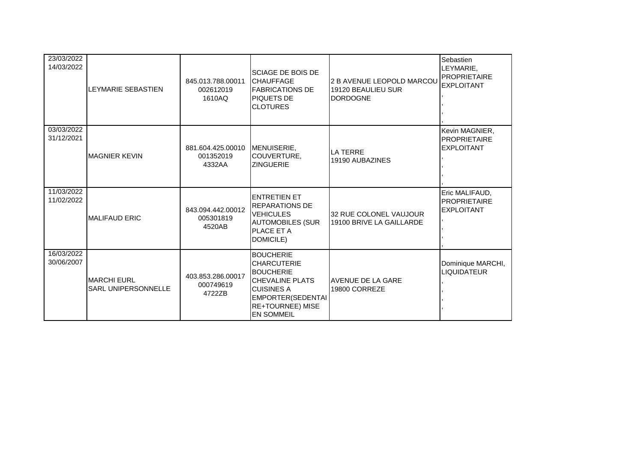| 23/03/2022<br>14/03/2022 | LEYMARIE SEBASTIEN                               | 845.013.788.00011<br>002612019<br>1610AQ | <b>SCIAGE DE BOIS DE</b><br><b>ICHAUFFAGE</b><br><b>FABRICATIONS DE</b><br><b>PIQUETS DE</b><br><b>CLOTURES</b>                                                                   | 2 B AVENUE LEOPOLD MARCOU<br>19120 BEAULIEU SUR<br><b>DORDOGNE</b> | Sebastien<br>LEYMARIE,<br><b>PROPRIETAIRE</b><br><b>EXPLOITANT</b> |
|--------------------------|--------------------------------------------------|------------------------------------------|-----------------------------------------------------------------------------------------------------------------------------------------------------------------------------------|--------------------------------------------------------------------|--------------------------------------------------------------------|
| 03/03/2022<br>31/12/2021 | <b>MAGNIER KEVIN</b>                             | 881.604.425.00010<br>001352019<br>4332AA | MENUISERIE,<br>COUVERTURE,<br><b>ZINGUERIE</b>                                                                                                                                    | <b>LA TERRE</b><br>19190 AUBAZINES                                 | Kevin MAGNIER,<br><b>PROPRIETAIRE</b><br><b>EXPLOITANT</b>         |
| 11/03/2022<br>11/02/2022 | <b>MALIFAUD ERIC</b>                             | 843.094.442.00012<br>005301819<br>4520AB | <b>IENTRETIEN ET</b><br><b>IREPARATIONS DE</b><br><b>IVEHICULES</b><br><b>AUTOMOBILES (SUR</b><br><b>PLACE ET A</b><br>DOMICILE)                                                  | 32 RUE COLONEL VAUJOUR<br>19100 BRIVE LA GAILLARDE                 | Eric MALIFAUD,<br><b>PROPRIETAIRE</b><br><b>EXPLOITANT</b>         |
| 16/03/2022<br>30/06/2007 | <b>MARCHI EURL</b><br><b>SARL UNIPERSONNELLE</b> | 403.853.286.00017<br>000749619<br>4722ZB | <b>BOUCHERIE</b><br><b>CHARCUTERIE</b><br><b>BOUCHERIE</b><br><b>ICHEVALINE PLATS</b><br><b>I</b> CUISINES A<br>EMPORTER(SEDENTAI<br><b>RE+TOURNEE) MISE</b><br><b>EN SOMMEIL</b> | AVENUE DE LA GARE<br>19800 CORREZE                                 | Dominique MARCHI,<br><b>LIQUIDATEUR</b>                            |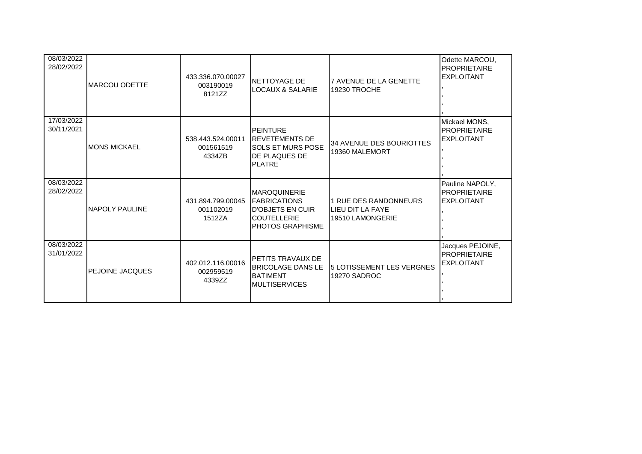| 08/03/2022<br>28/02/2022 | <b>IMARCOU ODETTE</b>  | 433.336.070.00027<br>003190019<br>8121ZZ | NETTOYAGE DE<br><b>LOCAUX &amp; SALARIE</b>                                                                                 | <b>7 AVENUE DE LA GENETTE</b><br>19230 TROCHE                 | Odette MARCOU,<br><b>PROPRIETAIRE</b><br><b>EXPLOITANT</b>  |
|--------------------------|------------------------|------------------------------------------|-----------------------------------------------------------------------------------------------------------------------------|---------------------------------------------------------------|-------------------------------------------------------------|
| 17/03/2022<br>30/11/2021 | <b>IMONS MICKAEL</b>   | 538.443.524.00011<br>001561519<br>4334ZB | <b>IPEINTURE</b><br><b>REVETEMENTS DE</b><br><b>SOLS ET MURS POSE</b><br><b>IDE PLAQUES DE</b><br><b>IPLATRE</b>            | 34 AVENUE DES BOURIOTTES<br>19360 MALEMORT                    | Mickael MONS,<br><b>PROPRIETAIRE</b><br><b>EXPLOITANT</b>   |
| 08/03/2022<br>28/02/2022 | <b>INAPOLY PAULINE</b> | 431.894.799.00045<br>001102019<br>1512ZA | <b>IMAROQUINERIE</b><br><b>IFABRICATIONS</b><br><b>ID'OBJETS EN CUIR</b><br><b>COUTELLERIE</b><br><b>I</b> PHOTOS GRAPHISME | 1 RUE DES RANDONNEURS<br>LIEU DIT LA FAYE<br>19510 LAMONGERIE | Pauline NAPOLY,<br><b>PROPRIETAIRE</b><br><b>EXPLOITANT</b> |
| 08/03/2022<br>31/01/2022 | <b>PEJOINE JACQUES</b> | 402.012.116.00016<br>002959519<br>4339ZZ | <b>I</b> PETITS TRAVAUX DE<br><b>BRICOLAGE DANS LE</b><br><b>BATIMENT</b><br><b>MULTISERVICES</b>                           | 5 LOTISSEMENT LES VERGNES<br>19270 SADROC                     | Jacques PEJOINE,<br>PROPRIETAIRE<br><b>EXPLOITANT</b>       |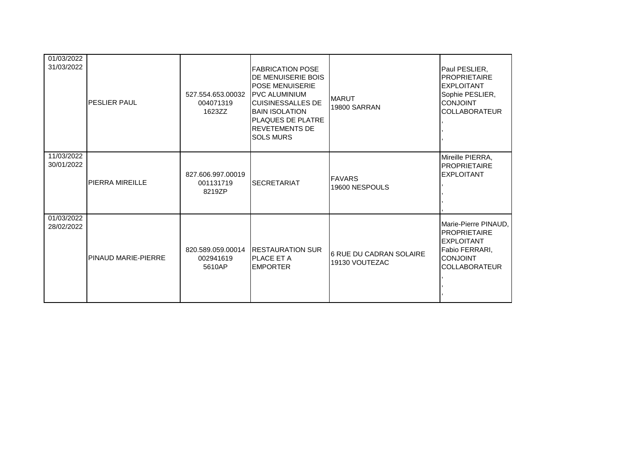| 01/03/2022<br>31/03/2022 | <b>PESLIER PAUL</b>    | 527.554.653.00032<br>004071319<br>1623ZZ | <b>FABRICATION POSE</b><br><b>IDE MENUISERIE BOIS</b><br><b>I</b> POSE MENUISERIE<br><b>IPVC ALUMINIUM</b><br><b>ICUISINESSALLES DE</b><br><b>BAIN ISOLATION</b><br><b>PLAQUES DE PLATRE</b><br><b>REVETEMENTS DE</b><br><b>I</b> SOLS MURS | <b>MARUT</b><br><b>19800 SARRAN</b>              | Paul PESLIER,<br><b>PROPRIETAIRE</b><br><b>EXPLOITANT</b><br>Sophie PESLIER,<br><b>CONJOINT</b><br><b>COLLABORATEUR</b>       |
|--------------------------|------------------------|------------------------------------------|---------------------------------------------------------------------------------------------------------------------------------------------------------------------------------------------------------------------------------------------|--------------------------------------------------|-------------------------------------------------------------------------------------------------------------------------------|
| 11/03/2022<br>30/01/2022 | <b>PIERRA MIREILLE</b> | 827.606.997.00019<br>001131719<br>8219ZP | <b>SECRETARIAT</b>                                                                                                                                                                                                                          | <b>FAVARS</b><br>19600 NESPOULS                  | Mireille PIERRA,<br><b>PROPRIETAIRE</b><br><b>EXPLOITANT</b>                                                                  |
| 01/03/2022<br>28/02/2022 | PINAUD MARIE-PIERRE    | 820.589.059.00014<br>002941619<br>5610AP | <b>RESTAURATION SUR</b><br><b>IPLACE ET A</b><br><b>IEMPORTER</b>                                                                                                                                                                           | <b>6 RUE DU CADRAN SOLAIRE</b><br>19130 VOUTEZAC | Marie-Pierre PINAUD,<br><b>PROPRIETAIRE</b><br><b>EXPLOITANT</b><br>Fabio FERRARI.<br><b>CONJOINT</b><br><b>COLLABORATEUR</b> |